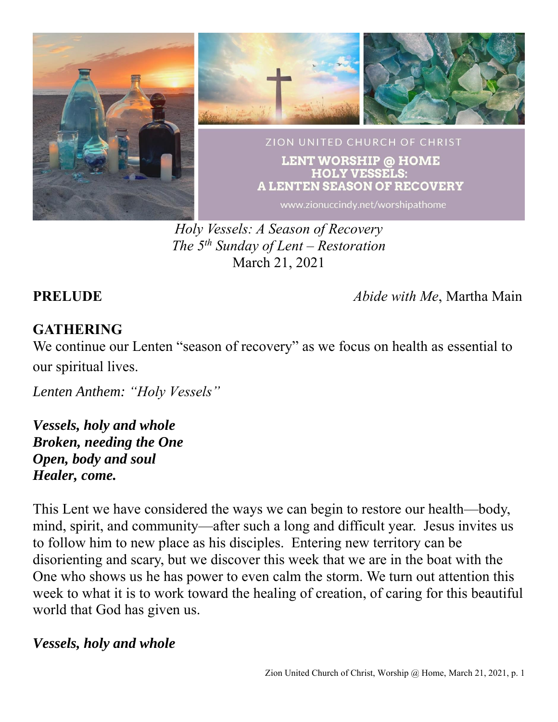

*Holy Vessels: A Season of Recovery The 5 th Sunday of Lent – Restoration* March 21, 2021

**PRELUDE** *Abide with Me*, Martha Main

## **GATHERING**

We continue our Lenten "season of recovery" as we focus on health as essential to our spiritual lives.

*Lenten Anthem: "Holy Vessels"*

*Vessels, holy and whole Broken, needing the One Open, body and soul Healer, come.*

This Lent we have considered the ways we can begin to restore our health—body, mind, spirit, and community—after such a long and difficult year. Jesus invites us to follow him to new place as his disciples. Entering new territory can be disorienting and scary, but we discover this week that we are in the boat with the One who shows us he has power to even calm the storm. We turn out attention this week to what it is to work toward the healing of creation, of caring for this beautiful world that God has given us.

### *Vessels, holy and whole*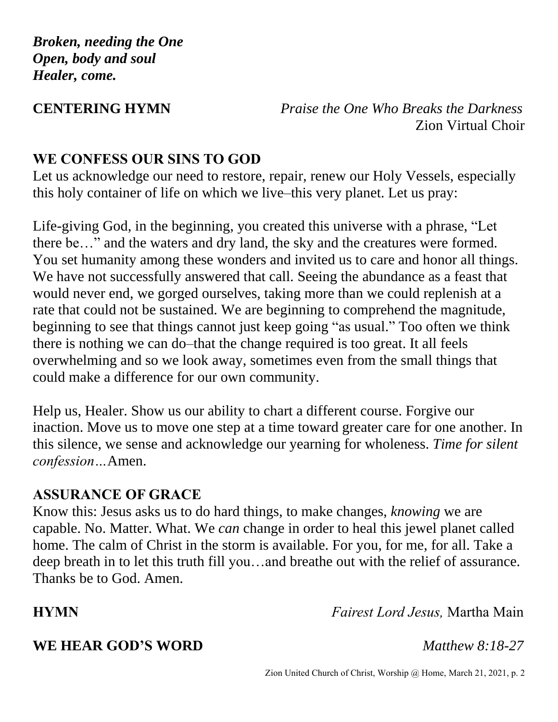*Broken, needing the One Open, body and soul Healer, come.*

**CENTERING HYMN** *Praise the One Who Breaks the Darkness* Zion Virtual Choir

## **WE CONFESS OUR SINS TO GOD**

Let us acknowledge our need to restore, repair, renew our Holy Vessels, especially this holy container of life on which we live–this very planet. Let us pray:

Life-giving God, in the beginning, you created this universe with a phrase, "Let there be…" and the waters and dry land, the sky and the creatures were formed. You set humanity among these wonders and invited us to care and honor all things. We have not successfully answered that call. Seeing the abundance as a feast that would never end, we gorged ourselves, taking more than we could replenish at a rate that could not be sustained. We are beginning to comprehend the magnitude, beginning to see that things cannot just keep going "as usual." Too often we think there is nothing we can do–that the change required is too great. It all feels overwhelming and so we look away, sometimes even from the small things that could make a difference for our own community.

Help us, Healer. Show us our ability to chart a different course. Forgive our inaction. Move us to move one step at a time toward greater care for one another. In this silence, we sense and acknowledge our yearning for wholeness. *Time for silent confession…*Amen.

### **ASSURANCE OF GRACE**

Know this: Jesus asks us to do hard things, to make changes, *knowing* we are capable. No. Matter. What. We *can* change in order to heal this jewel planet called home. The calm of Christ in the storm is available. For you, for me, for all. Take a deep breath in to let this truth fill you…and breathe out with the relief of assurance. Thanks be to God. Amen.

**HYMN** *Fairest Lord Jesus,* Martha Main

## **WE HEAR GOD'S WORD** *Matthew 8:18-27*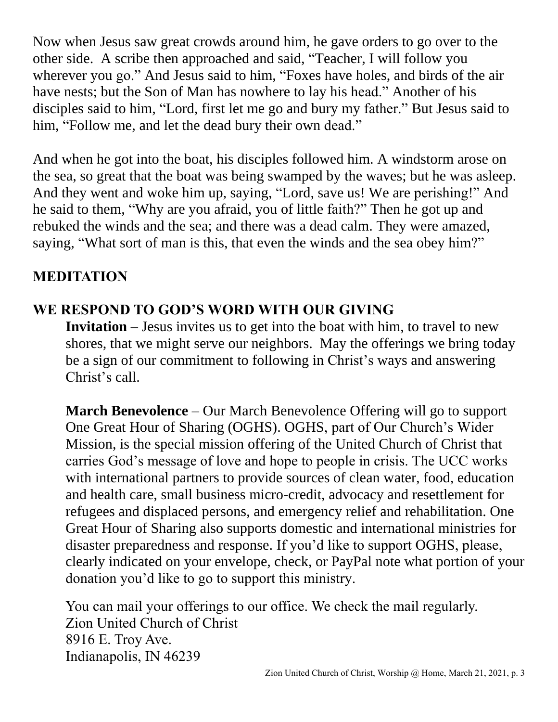Now when Jesus saw great crowds around him, he gave orders to go over to the other side. A scribe then approached and said, "Teacher, I will follow you wherever you go." And Jesus said to him, "Foxes have holes, and birds of the air have nests; but the Son of Man has nowhere to lay his head." Another of his disciples said to him, "Lord, first let me go and bury my father." But Jesus said to him, "Follow me, and let the dead bury their own dead."

And when he got into the boat, his disciples followed him. A windstorm arose on the sea, so great that the boat was being swamped by the waves; but he was asleep. And they went and woke him up, saying, "Lord, save us! We are perishing!" And he said to them, "Why are you afraid, you of little faith?" Then he got up and rebuked the winds and the sea; and there was a dead calm. They were amazed, saying, "What sort of man is this, that even the winds and the sea obey him?"

# **MEDITATION**

# **WE RESPOND TO GOD'S WORD WITH OUR GIVING**

**Invitation** – Jesus invites us to get into the boat with him, to travel to new shores, that we might serve our neighbors. May the offerings we bring today be a sign of our commitment to following in Christ's ways and answering Christ's call.

**March Benevolence** – Our March Benevolence Offering will go to support One Great Hour of Sharing (OGHS). OGHS, part of Our Church's Wider Mission, is the special mission offering of the United Church of Christ that carries God's message of love and hope to people in crisis. The UCC works with international partners to provide sources of clean water, food, education and health care, small business micro-credit, advocacy and resettlement for refugees and displaced persons, and emergency relief and rehabilitation. One Great Hour of Sharing also supports domestic and international ministries for disaster preparedness and response. If you'd like to support OGHS, please, clearly indicated on your envelope, check, or PayPal note what portion of your donation you'd like to go to support this ministry.

You can mail your offerings to our office. We check the mail regularly. Zion United Church of Christ 8916 E. Troy Ave. Indianapolis, IN 46239